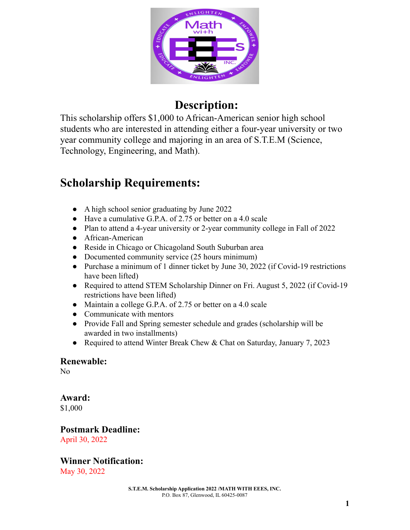

# **Description:**

This scholarship offers \$1,000 to African-American senior high school students who are interested in attending either a four-year university or two year community college and majoring in an area of S.T.E.M (Science, Technology, Engineering, and Math).

# **Scholarship Requirements:**

- A high school senior graduating by June 2022
- Have a cumulative G.P.A. of 2.75 or better on a 4.0 scale
- Plan to attend a 4-year university or 2-year community college in Fall of 2022
- African-American
- Reside in Chicago or Chicagoland South Suburban area
- Documented community service (25 hours minimum)
- Purchase a minimum of 1 dinner ticket by June 30, 2022 (if Covid-19 restrictions have been lifted)
- Required to attend STEM Scholarship Dinner on Fri. August 5, 2022 (if Covid-19 restrictions have been lifted)
- Maintain a college G.P.A. of 2.75 or better on a 4.0 scale
- Communicate with mentors
- Provide Fall and Spring semester schedule and grades (scholarship will be awarded in two installments)
- Required to attend Winter Break Chew & Chat on Saturday, January 7, 2023

## **Renewable:**

No

## **Award:**

\$1,000

### **Postmark Deadline:** April 30, 2022

## **Winner Notification:**

May 30, 2022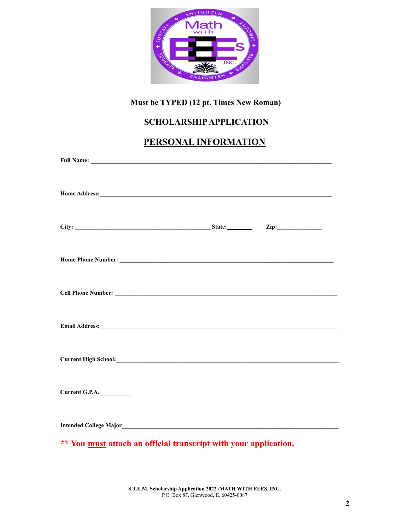

## **Must be TYPED (12 pt. Times New Roman)**

## **SCHOLARSHIPAPPLICATION**

## **PERSONAL INFORMATION**

| Cell Phone Number: 2008 Cell Phone Number:                       |  |  |
|------------------------------------------------------------------|--|--|
|                                                                  |  |  |
|                                                                  |  |  |
| Current G.P.A.                                                   |  |  |
|                                                                  |  |  |
| ** You must attach an official transcript with your application. |  |  |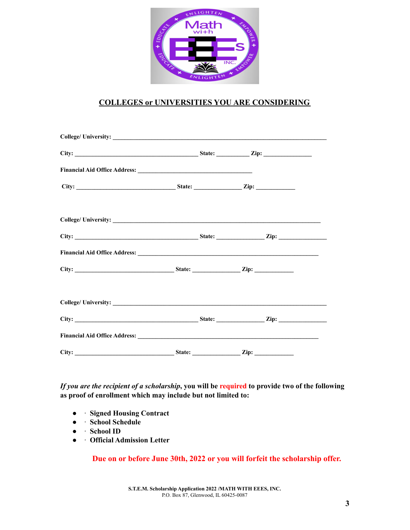

## **COLLEGES or UNIVERSITIES YOU ARE CONSIDERING**

| City: |  | $\mathbf{Zip:}$ |  |
|-------|--|-----------------|--|

If you are the recipient of a scholarship, you will be required to provide two of the following **as proof of enrollment which may include but not limited to:**

- ∙ **Signed Housing Contract**
- ∙ **School Schedule**
- ∙ **School ID**
- ∙ **Official Admission Letter**

**Due on or before June 30th, 2022 or you will forfeit the scholarship offer.**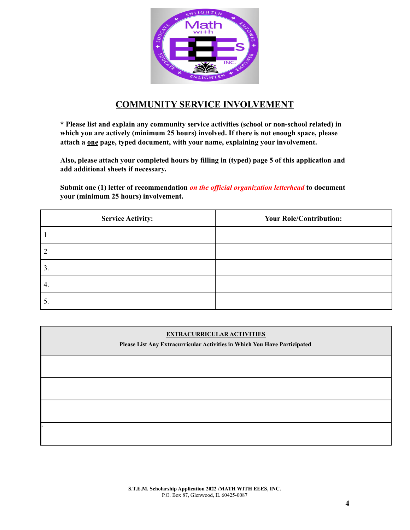

## **COMMUNITY SERVICE INVOLVEMENT**

**\* Please list and explain any community service activities (school or non-school related) in which you are actively (minimum 25 hours) involved. If there is not enough space, please attach a one page, typed document, with your name, explaining your involvement.**

**Also, please attach your completed hours by filling in (typed) page 5 of this application and add additional sheets if necessary.**

**Submit one (1) letter of recommendation** *on the of icial organization letterhead* **to document your (minimum 25 hours) involvement.**

| <b>Service Activity:</b> | <b>Your Role/Contribution:</b> |
|--------------------------|--------------------------------|
|                          |                                |
|                          |                                |
| 3                        |                                |
| 4.                       |                                |
|                          |                                |

#### **EXTRACURRICULAR ACTIVITIES**

**Please List Any Extracurricular Activities in Which You Have Participated**

 $\epsilon$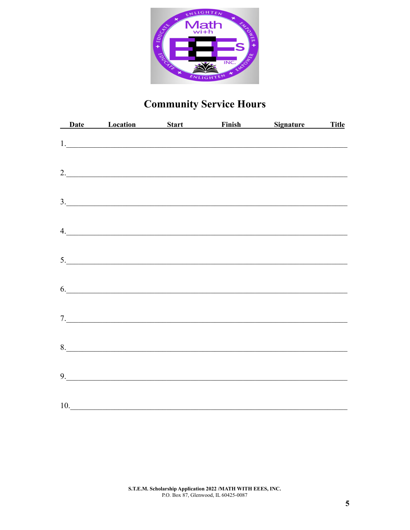

# **Community Service Hours**

|     |               |  | Date Location Start Finish Signature Title |  |
|-----|---------------|--|--------------------------------------------|--|
|     |               |  |                                            |  |
|     |               |  | 2.                                         |  |
|     |               |  | 3.                                         |  |
|     | $\frac{1}{2}$ |  |                                            |  |
|     | 5.            |  |                                            |  |
|     |               |  | 6.                                         |  |
|     | 7.            |  |                                            |  |
|     |               |  |                                            |  |
|     | 9.            |  |                                            |  |
| 10. |               |  |                                            |  |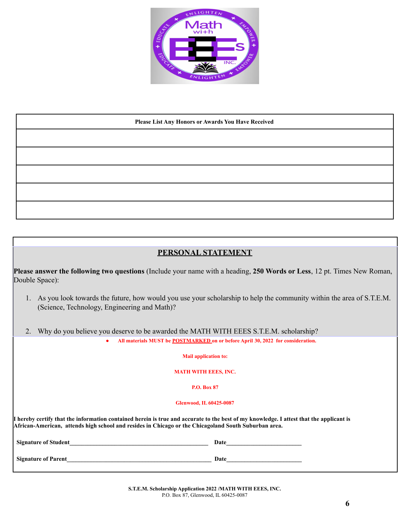

#### **Please List Any Honors or Awards You Have Received**

### **PERSONAL STATEMENT**

**Please answer the following two questions** (Include your name with a heading, **250 Words or Less**, 12 pt. Times New Roman, Double Space):

- 1. As you look towards the future, how would you use your scholarship to help the community within the area of S.T.E.M. (Science, Technology, Engineering and Math)?
- 2. Why do you believe you deserve to be awarded the MATH WITH EEES S.T.E.M. scholarship? **● All materials MUST be POSTMARKED on or before April 30, 2022 for consideration.**

**Mail application to:**

**MATH WITH EEES, INC.**

**P.O. Box 87**

**Glenwood, IL 60425-0087**

**I hereby certify that the information contained herein is true and accurate to the best of my knowledge. I attest that the applicant is African-American, attends high school and resides in Chicago or the Chicagoland South Suburban area.**

| Signature of Student | Date |
|----------------------|------|
| Signature of Parent  | Date |

**S.T.E.M. Scholarship Application 2022 /MATH WITH EEES, INC.** P.O. Box 87, Glenwood, IL 60425-0087